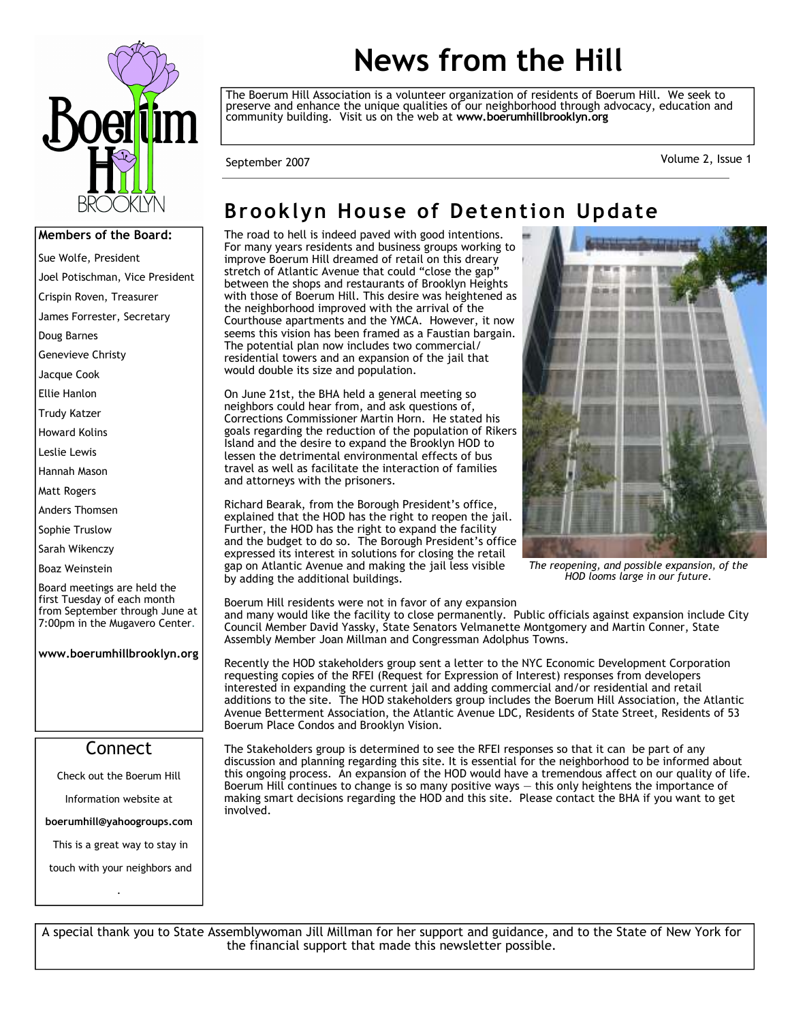

# **News from the Hill**

The Boerum Hill Association is a volunteer organization of residents of Boerum Hill. We seek to preserve and enhance the unique qualities of our neighborhood through advocacy, education and community building. Visit us on the web at **www.boerumhillbrooklyn.org** 

Volume 2, Issue 1 September 2007

#### **Members of the Board:**

- Sue Wolfe, President
- Joel Potischman, Vice President
- Crispin Roven, Treasurer
- James Forrester, Secretary
- Doug Barnes
- Genevieve Christy
- Jacque Cook
- Ellie Hanlon
- Trudy Katzer
- Howard Kolins
- Leslie Lewis
- Hannah Mason
- Matt Rogers
- Anders Thomsen
- Sophie Truslow
- Sarah Wikenczy
- Boaz Weinstein
- Board meetings are held the first Tuesday of each month from September through June at 7:00pm in the Mugavero Center.
- **www.boerumhillbrooklyn.org**

#### Connect

- Check out the Boerum Hill
	- Information website at
- **boerumhill@yahoogroups.com**
- This is a great way to stay in
- touch with your neighbors and .

### **Brooklyn House of Detention Update**

The road to hell is indeed paved with good intentions. For many years residents and business groups working to improve Boerum Hill dreamed of retail on this dreary stretch of Atlantic Avenue that could "close the gap" between the shops and restaurants of Brooklyn Heights with those of Boerum Hill. This desire was heightened as the neighborhood improved with the arrival of the Courthouse apartments and the YMCA. However, it now seems this vision has been framed as a Faustian bargain. The potential plan now includes two commercial/ residential towers and an expansion of the jail that would double its size and population.

On June 21st, the BHA held a general meeting so neighbors could hear from, and ask questions of, Corrections Commissioner Martin Horn. He stated his goals regarding the reduction of the population of Rikers Island and the desire to expand the Brooklyn HOD to lessen the detrimental environmental effects of bus travel as well as facilitate the interaction of families and attorneys with the prisoners.

Richard Bearak, from the Borough President's office, explained that the HOD has the right to reopen the jail. Further, the HOD has the right to expand the facility and the budget to do so. The Borough President's office expressed its interest in solutions for closing the retail gap on Atlantic Avenue and making the jail less visible by adding the additional buildings.



*The reopening, and possible expansion, of the HOD looms large in our future.* 

Boerum Hill residents were not in favor of any expansion and many would like the facility to close permanently. Public officials against expansion include City Council Member David Yassky, State Senators Velmanette Montgomery and Martin Conner, State Assembly Member Joan Millman and Congressman Adolphus Towns.

Recently the HOD stakeholders group sent a letter to the NYC Economic Development Corporation requesting copies of the RFEI (Request for Expression of Interest) responses from developers interested in expanding the current jail and adding commercial and/or residential and retail additions to the site. The HOD stakeholders group includes the Boerum Hill Association, the Atlantic Avenue Betterment Association, the Atlantic Avenue LDC, Residents of State Street, Residents of 53 Boerum Place Condos and Brooklyn Vision.

The Stakeholders group is determined to see the RFEI responses so that it can be part of any discussion and planning regarding this site. It is essential for the neighborhood to be informed about this ongoing process. An expansion of the HOD would have a tremendous affect on our quality of life. Boerum Hill continues to change is so many positive ways — this only heightens the importance of making smart decisions regarding the HOD and this site. Please contact the BHA if you want to get involved.

A special thank you to State Assemblywoman Jill Millman for her support and guidance, and to the State of New York for the financial support that made this newsletter possible.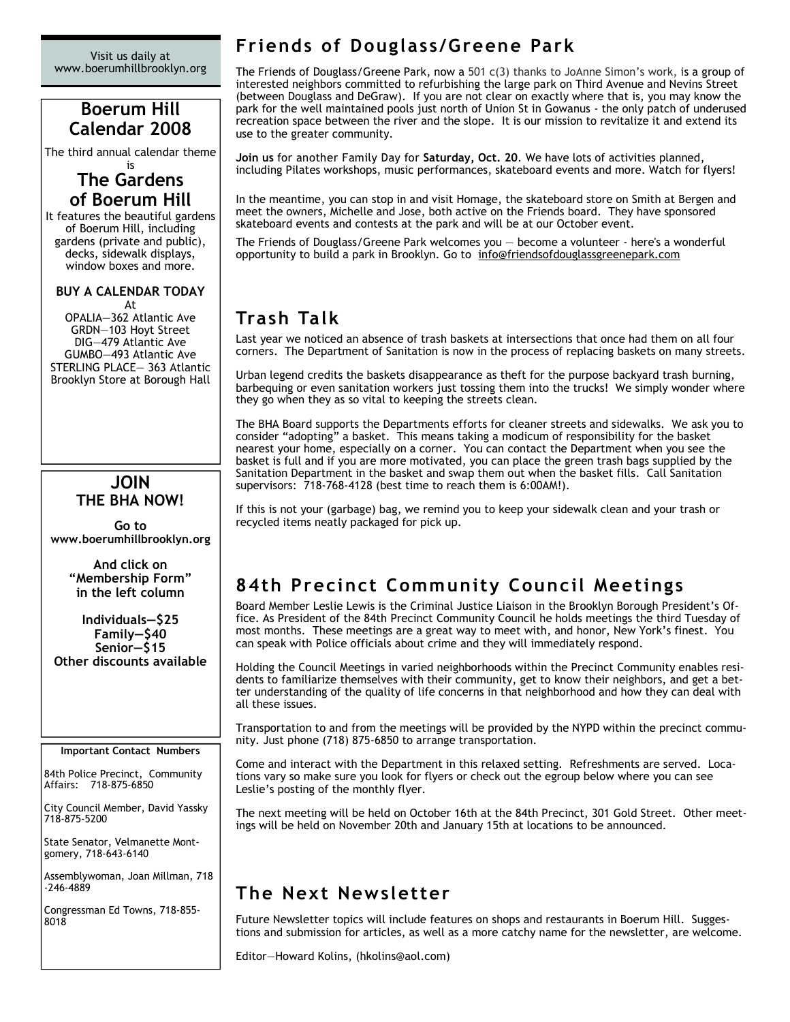Visit us daily at www.boerumhillbrooklyn.org

#### **Boerum Hill Calendar 2008**

The third annual calendar theme

#### is **The Gardens of Boerum Hill**

It features the beautiful gardens of Boerum Hill, including gardens (private and public), decks, sidewalk displays, window boxes and more.

#### **BUY A CALENDAR TODAY** At

OPALIA—362 Atlantic Ave GRDN—103 Hoyt Street DIG—479 Atlantic Ave GUMBO—493 Atlantic Ave STERLING PLACE— 363 Atlantic Brooklyn Store at Borough Hall

#### **JOIN THE BHA NOW!**

**Go to www.boerumhillbrooklyn.org** 

> **And click on "Membership Form" in the left column**

**Individuals—\$25 Family—\$40 Senior—\$15 Other discounts available** 

#### **Important Contact Numbers**

84th Police Precinct, Community Affairs: 718-875-6850

City Council Member, David Yassky 718-875-5200

State Senator, Velmanette Montgomery, 718-643-6140

Assemblywoman, Joan Millman, 718 -246-4889

Congressman Ed Towns, 718-855- 8018

#### **Friends of Douglass/Greene Park**

The Friends of Douglass/Greene Park, now a 501 c(3) thanks to JoAnne Simon's work, is a group of interested neighbors committed to refurbishing the large park on Third Avenue and Nevins Street (between Douglass and DeGraw). If you are not clear on exactly where that is, you may know the park for the well maintained pools just north of Union St in Gowanus - the only patch of underused recreation space between the river and the slope. It is our mission to revitalize it and extend its use to the greater community.

**Join us** for another Family Day for **Saturday, Oct. 20**. We have lots of activities planned, including Pilates workshops, music performances, skateboard events and more. Watch for flyers!

In the meantime, you can stop in and visit Homage, the skateboard store on Smith at Bergen and meet the owners, Michelle and Jose, both active on the Friends board. They have sponsored skateboard events and contests at the park and will be at our October event.

The Friends of Douglass/Greene Park welcomes you — become a volunteer - here's a wonderful opportunity to build a park in Brooklyn. Go to info@friendsofdouglassgreenepark.com

### **Trash Talk**

Last year we noticed an absence of trash baskets at intersections that once had them on all four corners. The Department of Sanitation is now in the process of replacing baskets on many streets.

Urban legend credits the baskets disappearance as theft for the purpose backyard trash burning, barbequing or even sanitation workers just tossing them into the trucks! We simply wonder where they go when they as so vital to keeping the streets clean.

The BHA Board supports the Departments efforts for cleaner streets and sidewalks. We ask you to consider "adopting" a basket. This means taking a modicum of responsibility for the basket nearest your home, especially on a corner. You can contact the Department when you see the basket is full and if you are more motivated, you can place the green trash bags supplied by the Sanitation Department in the basket and swap them out when the basket fills. Call Sanitation supervisors: 718-768-4128 (best time to reach them is 6:00AM!).

If this is not your (garbage) bag, we remind you to keep your sidewalk clean and your trash or recycled items neatly packaged for pick up.

### **84th Precinct Community Council Meetings**

Board Member Leslie Lewis is the Criminal Justice Liaison in the Brooklyn Borough President's Office. As President of the 84th Precinct Community Council he holds meetings the third Tuesday of most months. These meetings are a great way to meet with, and honor, New York's finest. You can speak with Police officials about crime and they will immediately respond.

Holding the Council Meetings in varied neighborhoods within the Precinct Community enables residents to familiarize themselves with their community, get to know their neighbors, and get a better understanding of the quality of life concerns in that neighborhood and how they can deal with all these issues.

Transportation to and from the meetings will be provided by the NYPD within the precinct community. Just phone (718) 875-6850 to arrange transportation.

Come and interact with the Department in this relaxed setting. Refreshments are served. Locations vary so make sure you look for flyers or check out the egroup below where you can see Leslie's posting of the monthly flyer.

The next meeting will be held on October 16th at the 84th Precinct, 301 Gold Street. Other meetings will be held on November 20th and January 15th at locations to be announced.

### **The Next Newsletter**

Future Newsletter topics will include features on shops and restaurants in Boerum Hill. Suggestions and submission for articles, as well as a more catchy name for the newsletter, are welcome.

Editor—Howard Kolins, (hkolins@aol.com)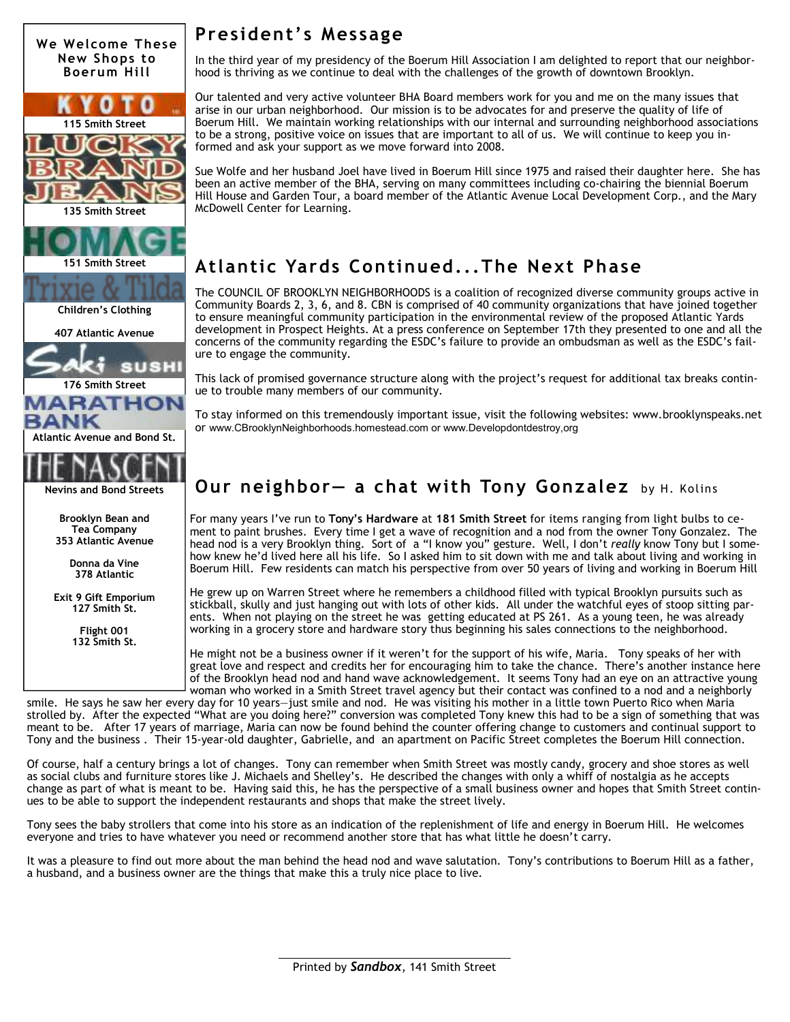

**Exit 9 Gift Emporium 127 Smith St.** 

> **Flight 001 132 Smith St.**

#### **President's Message**

In the third year of my presidency of the Boerum Hill Association I am delighted to report that our neighborhood is thriving as we continue to deal with the challenges of the growth of downtown Brooklyn.

Our talented and very active volunteer BHA Board members work for you and me on the many issues that arise in our urban neighborhood. Our mission is to be advocates for and preserve the quality of life of Boerum Hill. We maintain working relationships with our internal and surrounding neighborhood associations to be a strong, positive voice on issues that are important to all of us. We will continue to keep you informed and ask your support as we move forward into 2008.

Sue Wolfe and her husband Joel have lived in Boerum Hill since 1975 and raised their daughter here. She has been an active member of the BHA, serving on many committees including co-chairing the biennial Boerum Hill House and Garden Tour, a board member of the Atlantic Avenue Local Development Corp., and the Mary McDowell Center for Learning.

### **Atlantic Yards Continued...The Next Phase**

The COUNCIL OF BROOKLYN NEIGHBORHOODS is a coalition of recognized diverse community groups active in Community Boards 2, 3, 6, and 8. CBN is comprised of 40 community organizations that have joined together to ensure meaningful community participation in the environmental review of the proposed Atlantic Yards development in Prospect Heights. At a press conference on September 17th they presented to one and all the concerns of the community regarding the ESDC's failure to provide an ombudsman as well as the ESDC's failure to engage the community.

This lack of promised governance structure along with the project's request for additional tax breaks continue to trouble many members of our community.

To stay informed on this tremendously important issue, visit the following websites: www.brooklynspeaks.net or www.CBrooklynNeighborhoods.homestead.com or www.Developdontdestroy,org

#### **Our neighbor— a chat with Tony Gonzalez** by H. Kolins

For many years I've run to **Tony's Hardware** at **181 Smith Street** for items ranging from light bulbs to cement to paint brushes. Every time I get a wave of recognition and a nod from the owner Tony Gonzalez. The head nod is a very Brooklyn thing. Sort of a "I know you" gesture. Well, I don't *really* know Tony but I somehow knew he'd lived here all his life. So I asked him to sit down with me and talk about living and working in Boerum Hill. Few residents can match his perspective from over 50 years of living and working in Boerum Hill

He grew up on Warren Street where he remembers a childhood filled with typical Brooklyn pursuits such as stickball, skully and just hanging out with lots of other kids. All under the watchful eyes of stoop sitting parents. When not playing on the street he was getting educated at PS 261. As a young teen, he was already working in a grocery store and hardware story thus beginning his sales connections to the neighborhood.

He might not be a business owner if it weren't for the support of his wife, Maria. Tony speaks of her with great love and respect and credits her for encouraging him to take the chance. There's another instance here of the Brooklyn head nod and hand wave acknowledgement. It seems Tony had an eye on an attractive young woman who worked in a Smith Street travel agency but their contact was confined to a nod and a neighborly

smile. He says he saw her every day for 10 years—just smile and nod. He was visiting his mother in a little town Puerto Rico when Maria strolled by. After the expected "What are you doing here?" conversion was completed Tony knew this had to be a sign of something that was meant to be. After 17 years of marriage, Maria can now be found behind the counter offering change to customers and continual support to Tony and the business . Their 15-year-old daughter, Gabrielle, and an apartment on Pacific Street completes the Boerum Hill connection.

Of course, half a century brings a lot of changes. Tony can remember when Smith Street was mostly candy, grocery and shoe stores as well as social clubs and furniture stores like J. Michaels and Shelley's. He described the changes with only a whiff of nostalgia as he accepts change as part of what is meant to be. Having said this, he has the perspective of a small business owner and hopes that Smith Street continues to be able to support the independent restaurants and shops that make the street lively.

Tony sees the baby strollers that come into his store as an indication of the replenishment of life and energy in Boerum Hill. He welcomes everyone and tries to have whatever you need or recommend another store that has what little he doesn't carry.

It was a pleasure to find out more about the man behind the head nod and wave salutation. Tony's contributions to Boerum Hill as a father, a husband, and a business owner are the things that make this a truly nice place to live.